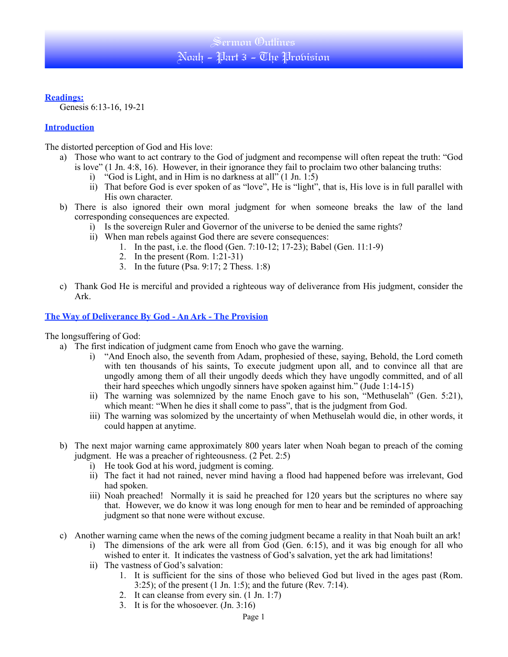# **Readings:**

Genesis 6:13-16, 19-21

# **Introduction**

The distorted perception of God and His love:

- a) Those who want to act contrary to the God of judgment and recompense will often repeat the truth: "God is love" (1 Jn. 4:8, 16). However, in their ignorance they fail to proclaim two other balancing truths:
	- i) "God is Light, and in Him is no darkness at all"  $(1 \text{ Jn. } 1.5)$
	- ii) That before God is ever spoken of as "love", He is "light", that is, His love is in full parallel with His own character.
- b) There is also ignored their own moral judgment for when someone breaks the law of the land corresponding consequences are expected.
	- i) Is the sovereign Ruler and Governor of the universe to be denied the same rights?
	- ii) When man rebels against God there are severe consequences:
		- 1. In the past, i.e. the flood (Gen. 7:10-12; 17-23); Babel (Gen. 11:1-9)
		- 2. In the present (Rom. 1:21-31)
		- 3. In the future (Psa. 9:17; 2 Thess. 1:8)
- c) Thank God He is merciful and provided a righteous way of deliverance from His judgment, consider the Ark.

# **The Way of Deliverance By God - An Ark - The Provision**

The longsuffering of God:

- a) The first indication of judgment came from Enoch who gave the warning.
	- i) "And Enoch also, the seventh from Adam, prophesied of these, saying, Behold, the Lord cometh with ten thousands of his saints, To execute judgment upon all, and to convince all that are ungodly among them of all their ungodly deeds which they have ungodly committed, and of all their hard speeches which ungodly sinners have spoken against him." (Jude 1:14-15)
	- ii) The warning was solemnized by the name Enoch gave to his son, "Methuselah" (Gen. 5:21), which meant: "When he dies it shall come to pass", that is the judgment from God.
	- iii) The warning was solomized by the uncertainty of when Methuselah would die, in other words, it could happen at anytime.
- b) The next major warning came approximately 800 years later when Noah began to preach of the coming judgment. He was a preacher of righteousness. (2 Pet. 2:5)
	- i) He took God at his word, judgment is coming.
	- ii) The fact it had not rained, never mind having a flood had happened before was irrelevant, God had spoken.
	- iii) Noah preached! Normally it is said he preached for 120 years but the scriptures no where say that. However, we do know it was long enough for men to hear and be reminded of approaching judgment so that none were without excuse.
- c) Another warning came when the news of the coming judgment became a reality in that Noah built an ark!
	- i) The dimensions of the ark were all from God (Gen. 6:15), and it was big enough for all who wished to enter it. It indicates the vastness of God's salvation, yet the ark had limitations!
	- ii) The vastness of God's salvation:
		- 1. It is sufficient for the sins of those who believed God but lived in the ages past (Rom. 3:25); of the present (1 Jn. 1:5); and the future (Rev. 7:14).
		- 2. It can cleanse from every sin. (1 Jn. 1:7)
		- 3. It is for the whosoever. (Jn. 3:16)